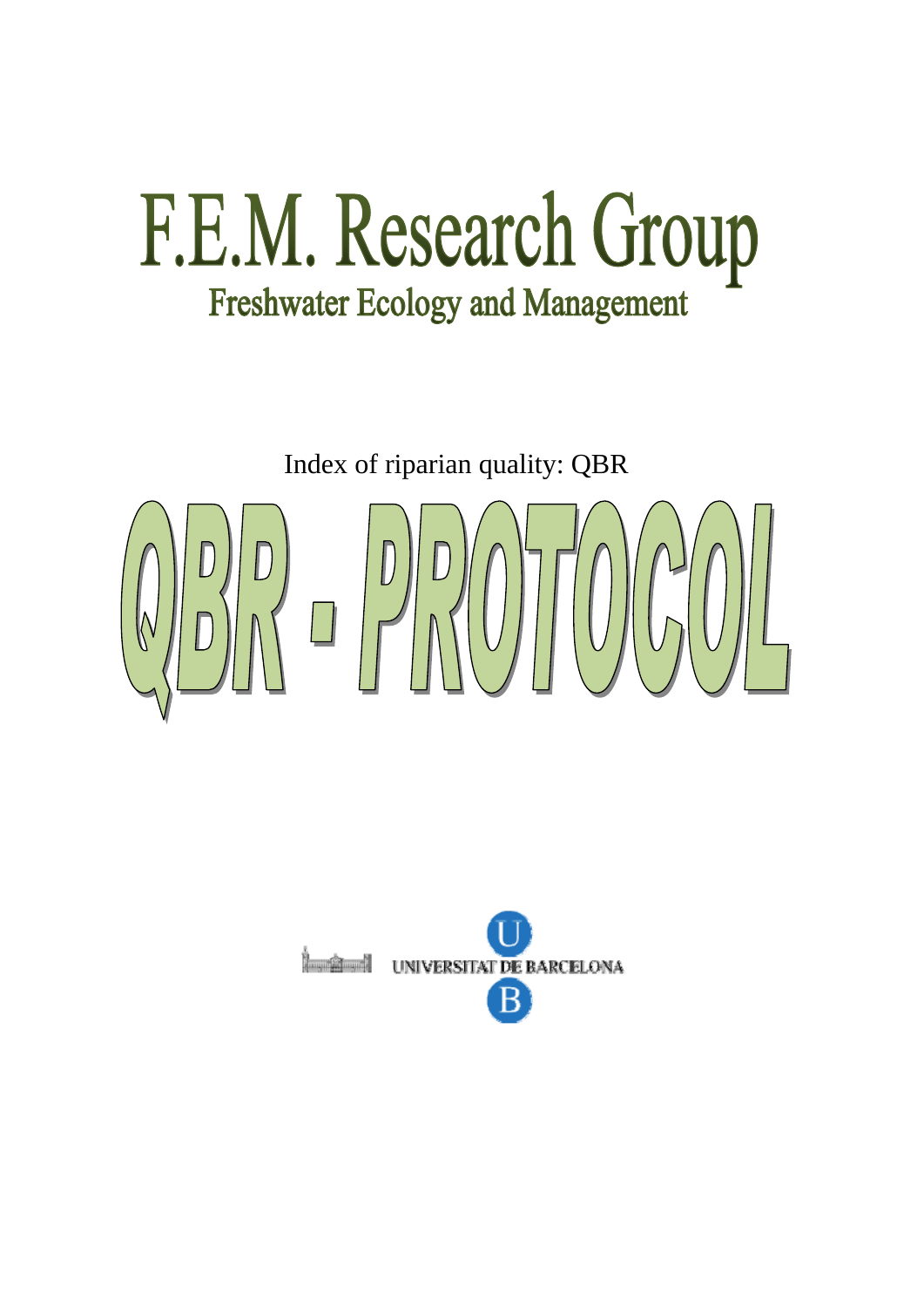## F.E.M. Research Group **Freshwater Ecology and Management**

Index of riparian quality: QBR

# $\begin{bmatrix} 0 & 0 \\ 0 & 0 \\ 0 & 0 \end{bmatrix}$

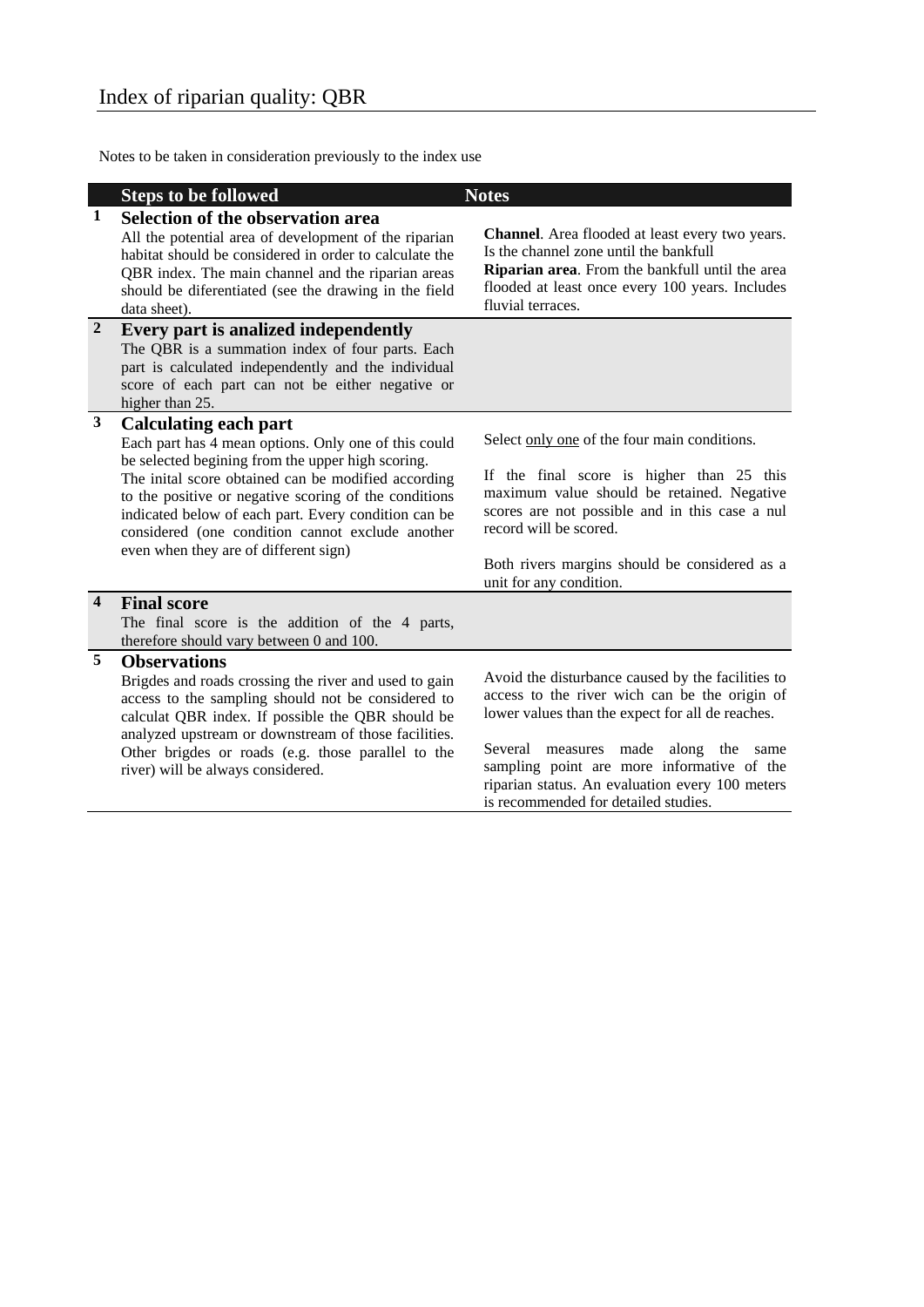Notes to be taken in consideration previously to the index use

|                         | <b>Steps to be followed</b>                                                                                                                                                                                                                                                                                                                                                                                    | <b>Notes</b>                                                                                                                                                                                                                                                                                                                            |
|-------------------------|----------------------------------------------------------------------------------------------------------------------------------------------------------------------------------------------------------------------------------------------------------------------------------------------------------------------------------------------------------------------------------------------------------------|-----------------------------------------------------------------------------------------------------------------------------------------------------------------------------------------------------------------------------------------------------------------------------------------------------------------------------------------|
| 1                       | Selection of the observation area<br>All the potential area of development of the riparian<br>habitat should be considered in order to calculate the<br>QBR index. The main channel and the riparian areas<br>should be diferentiated (see the drawing in the field<br>data sheet).                                                                                                                            | Channel. Area flooded at least every two years.<br>Is the channel zone until the bankfull<br>Riparian area. From the bankfull until the area<br>flooded at least once every 100 years. Includes<br>fluvial terraces.                                                                                                                    |
| $\overline{2}$          | Every part is analized independently<br>The QBR is a summation index of four parts. Each<br>part is calculated independently and the individual<br>score of each part can not be either negative or<br>higher than 25.                                                                                                                                                                                         |                                                                                                                                                                                                                                                                                                                                         |
| $\mathbf{3}$            | <b>Calculating each part</b><br>Each part has 4 mean options. Only one of this could<br>be selected begining from the upper high scoring.<br>The inital score obtained can be modified according<br>to the positive or negative scoring of the conditions<br>indicated below of each part. Every condition can be<br>considered (one condition cannot exclude another<br>even when they are of different sign) | Select only one of the four main conditions.<br>If the final score is higher than 25 this<br>maximum value should be retained. Negative<br>scores are not possible and in this case a nul<br>record will be scored.<br>Both rivers margins should be considered as a<br>unit for any condition.                                         |
| $\overline{\mathbf{4}}$ | <b>Final score</b><br>The final score is the addition of the 4 parts,<br>therefore should vary between 0 and 100.                                                                                                                                                                                                                                                                                              |                                                                                                                                                                                                                                                                                                                                         |
| 5                       | <b>Observations</b><br>Brigdes and roads crossing the river and used to gain<br>access to the sampling should not be considered to<br>calculat QBR index. If possible the QBR should be<br>analyzed upstream or downstream of those facilities.<br>Other brigdes or roads (e.g. those parallel to the<br>river) will be always considered.                                                                     | Avoid the disturbance caused by the facilities to<br>access to the river wich can be the origin of<br>lower values than the expect for all de reaches.<br>Several measures made along the same<br>sampling point are more informative of the<br>riparian status. An evaluation every 100 meters<br>is recommended for detailed studies. |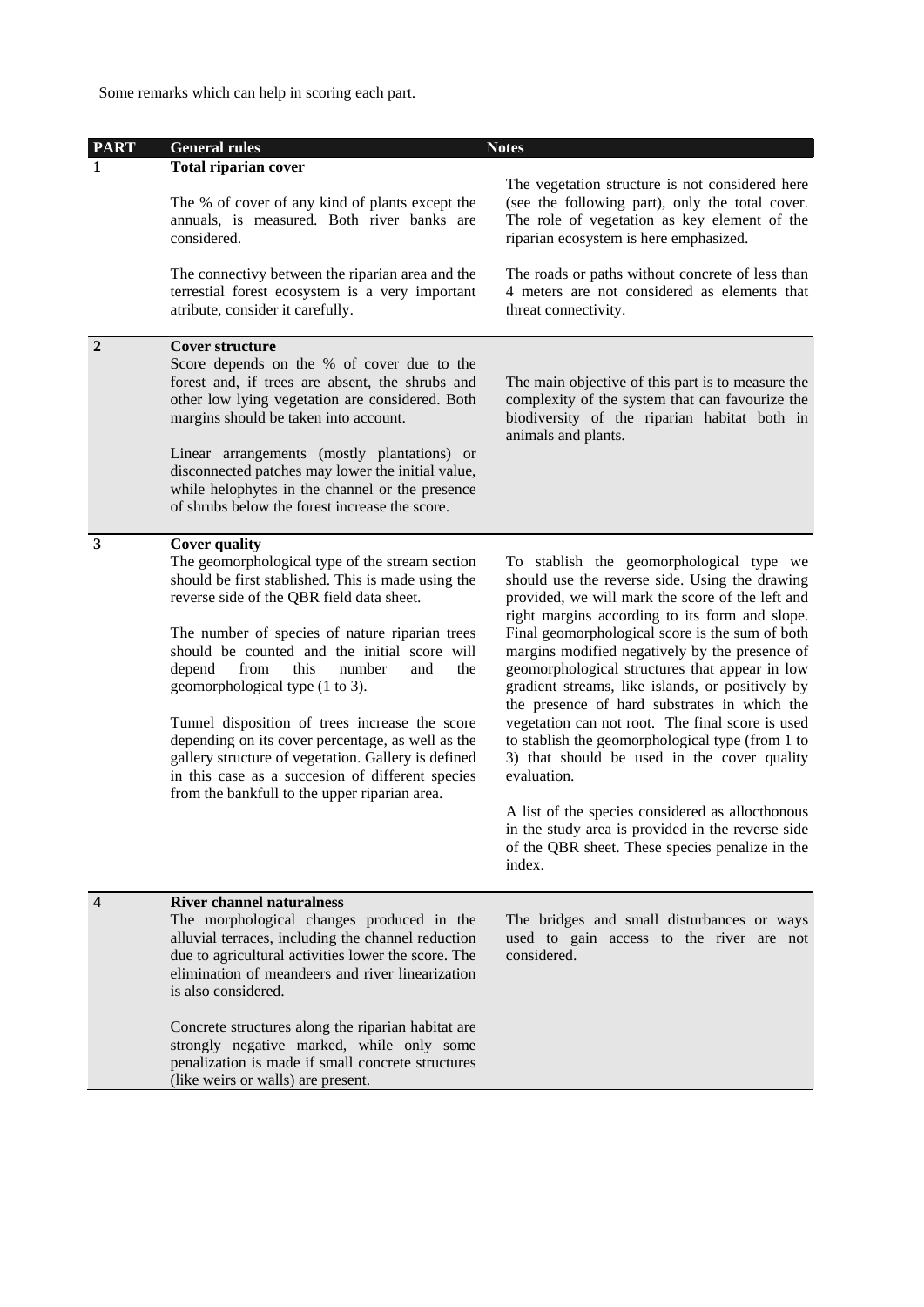Some remarks which can help in scoring each part.

| <b>PART</b>      | <b>General rules</b>                                                                                                                                                                                                                                                                                                                                                                                                                                                                                                                                                                                                                 | <b>Notes</b>                                                                                                                                                                                                                                                                                                                                                                                                                                                                                                                                                                                                                                                                                                                                                                                            |
|------------------|--------------------------------------------------------------------------------------------------------------------------------------------------------------------------------------------------------------------------------------------------------------------------------------------------------------------------------------------------------------------------------------------------------------------------------------------------------------------------------------------------------------------------------------------------------------------------------------------------------------------------------------|---------------------------------------------------------------------------------------------------------------------------------------------------------------------------------------------------------------------------------------------------------------------------------------------------------------------------------------------------------------------------------------------------------------------------------------------------------------------------------------------------------------------------------------------------------------------------------------------------------------------------------------------------------------------------------------------------------------------------------------------------------------------------------------------------------|
|                  | <b>Total riparian cover</b>                                                                                                                                                                                                                                                                                                                                                                                                                                                                                                                                                                                                          |                                                                                                                                                                                                                                                                                                                                                                                                                                                                                                                                                                                                                                                                                                                                                                                                         |
|                  | The % of cover of any kind of plants except the<br>annuals, is measured. Both river banks are<br>considered.                                                                                                                                                                                                                                                                                                                                                                                                                                                                                                                         | The vegetation structure is not considered here<br>(see the following part), only the total cover.<br>The role of vegetation as key element of the<br>riparian ecosystem is here emphasized.                                                                                                                                                                                                                                                                                                                                                                                                                                                                                                                                                                                                            |
|                  | The connectivy between the riparian area and the<br>terrestial forest ecosystem is a very important<br>atribute, consider it carefully.                                                                                                                                                                                                                                                                                                                                                                                                                                                                                              | The roads or paths without concrete of less than<br>4 meters are not considered as elements that<br>threat connectivity.                                                                                                                                                                                                                                                                                                                                                                                                                                                                                                                                                                                                                                                                                |
| $\overline{2}$   | <b>Cover structure</b><br>Score depends on the % of cover due to the<br>forest and, if trees are absent, the shrubs and<br>other low lying vegetation are considered. Both<br>margins should be taken into account.<br>Linear arrangements (mostly plantations) or<br>disconnected patches may lower the initial value,<br>while helophytes in the channel or the presence<br>of shrubs below the forest increase the score.                                                                                                                                                                                                         | The main objective of this part is to measure the<br>complexity of the system that can favourize the<br>biodiversity of the riparian habitat both in<br>animals and plants.                                                                                                                                                                                                                                                                                                                                                                                                                                                                                                                                                                                                                             |
| 3                | <b>Cover quality</b><br>The geomorphological type of the stream section<br>should be first stablished. This is made using the<br>reverse side of the QBR field data sheet.<br>The number of species of nature riparian trees<br>should be counted and the initial score will<br>depend<br>from<br>this<br>the<br>number<br>and<br>geomorphological type (1 to 3).<br>Tunnel disposition of trees increase the score<br>depending on its cover percentage, as well as the<br>gallery structure of vegetation. Gallery is defined<br>in this case as a succesion of different species<br>from the bankfull to the upper riparian area. | To stablish the geomorphological type we<br>should use the reverse side. Using the drawing<br>provided, we will mark the score of the left and<br>right margins according to its form and slope.<br>Final geomorphological score is the sum of both<br>margins modified negatively by the presence of<br>geomorphological structures that appear in low<br>gradient streams, like islands, or positively by<br>the presence of hard substrates in which the<br>vegetation can not root. The final score is used<br>to stablish the geomorphological type (from 1 to<br>3) that should be used in the cover quality<br>evaluation.<br>A list of the species considered as allocthonous<br>in the study area is provided in the reverse side<br>of the QBR sheet. These species penalize in the<br>index. |
| $\boldsymbol{4}$ | <b>River channel naturalness</b><br>The morphological changes produced in the<br>alluvial terraces, including the channel reduction<br>due to agricultural activities lower the score. The<br>elimination of meandeers and river linearization<br>is also considered.<br>Concrete structures along the riparian habitat are<br>strongly negative marked, while only some<br>penalization is made if small concrete structures<br>(like weirs or walls) are present.                                                                                                                                                                  | The bridges and small disturbances or ways<br>used to gain access to the river are not<br>considered.                                                                                                                                                                                                                                                                                                                                                                                                                                                                                                                                                                                                                                                                                                   |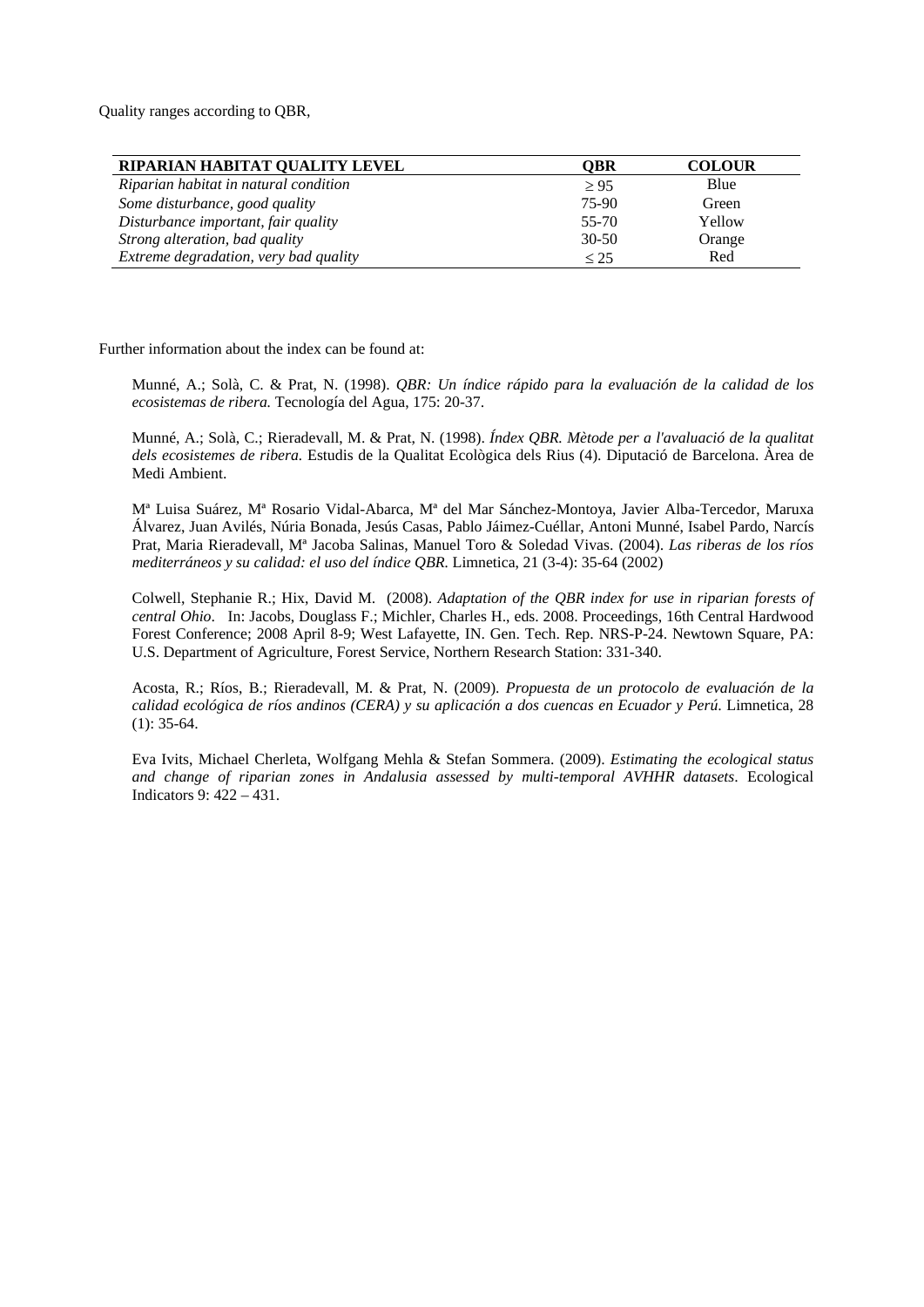Quality ranges according to QBR,

| RIPARIAN HABITAT QUALITY LEVEL        | OBR       | <b>COLOUR</b> |
|---------------------------------------|-----------|---------------|
| Riparian habitat in natural condition | $\geq 95$ | Blue          |
| Some disturbance, good quality        | 75-90     | Green         |
| Disturbance important, fair quality   | 55-70     | Yellow        |
| Strong alteration, bad quality        | $30 - 50$ | Orange        |
| Extreme degradation, very bad quality | $\leq$ 25 | Red           |

Further information about the index can be found at:

Munné, A.; Solà, C. & Prat, N. (1998). *QBR: Un índice rápido para la evaluación de la calidad de los ecosistemas de ribera.* Tecnología del Agua, 175: 20-37.

Munné, A.; Solà, C.; Rieradevall, M. & Prat, N. (1998). *Índex QBR. Mètode per a l'avaluació de la qualitat dels ecosistemes de ribera.* Estudis de la Qualitat Ecològica dels Rius (4). Diputació de Barcelona. Àrea de Medi Ambient.

Mª Luisa Suárez, Mª Rosario Vidal-Abarca, Mª del Mar Sánchez-Montoya, Javier Alba-Tercedor, Maruxa Álvarez, Juan Avilés, Núria Bonada, Jesús Casas, Pablo Jáimez-Cuéllar, Antoni Munné, Isabel Pardo, Narcís Prat, Maria Rieradevall, Mª Jacoba Salinas, Manuel Toro & Soledad Vivas. (2004). *Las riberas de los ríos mediterráneos y su calidad: el uso del índice QBR.* Limnetica, 21 (3-4): 35-64 (2002)

Colwell, Stephanie R.; Hix, David M. (2008). *Adaptation of the QBR index for use in riparian forests of central Ohio*. In: Jacobs, Douglass F.; Michler, Charles H., eds. 2008. Proceedings, 16th Central Hardwood Forest Conference; 2008 April 8-9; West Lafayette, IN. Gen. Tech. Rep. NRS-P-24. Newtown Square, PA: U.S. Department of Agriculture, Forest Service, Northern Research Station: 331-340.

Acosta, R.; Ríos, B.; Rieradevall, M. & Prat, N. (2009). *Propuesta de un protocolo de evaluación de la calidad ecológica de ríos andinos (CERA) y su aplicación a dos cuencas en Ecuador y Perú*. Limnetica, 28 (1): 35-64.

Eva Ivits, Michael Cherleta, Wolfgang Mehla & Stefan Sommera. (2009). *Estimating the ecological status and change of riparian zones in Andalusia assessed by multi-temporal AVHHR datasets*. Ecological Indicators 9: 422 – 431.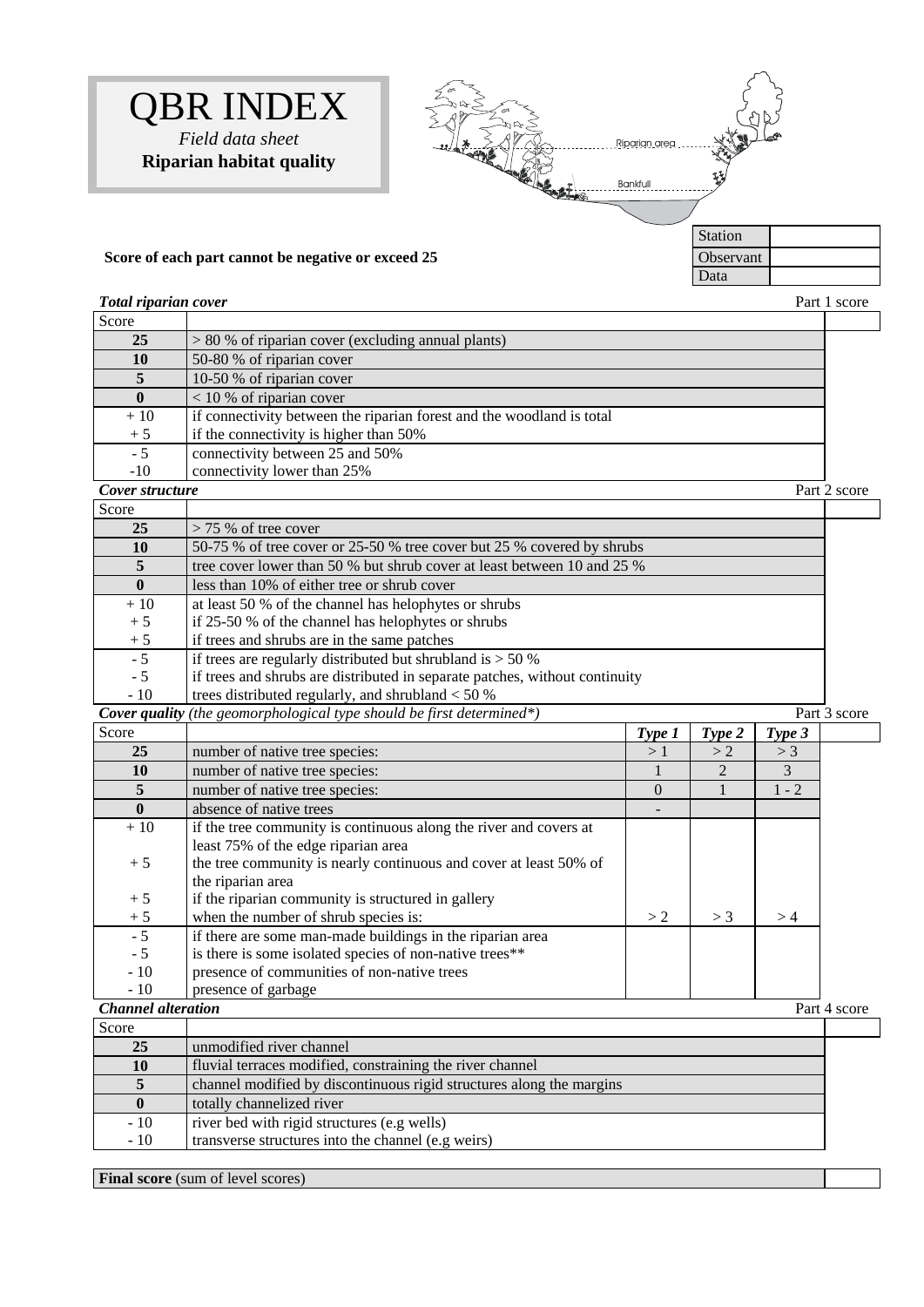



### **Score of each part cannot be negative or exceed 25** Observant

#### **Total riparian cover Part 1 score**

| Score           |                                                                       |              |
|-----------------|-----------------------------------------------------------------------|--------------|
| 25              | $> 80$ % of riparian cover (excluding annual plants)                  |              |
| 10              | 50-80 % of riparian cover                                             |              |
| 5               | 10-50 % of riparian cover                                             |              |
|                 | $<$ 10 % of riparian cover                                            |              |
| $+10$           | if connectivity between the riparian forest and the woodland is total |              |
| $+5$            | if the connectivity is higher than 50%                                |              |
| $-5$            | connectivity between 25 and 50%                                       |              |
| $-10$           | connectivity lower than 25%                                           |              |
| Cover structure |                                                                       | Part 2 score |

| Score        |                                                                             |  |
|--------------|-----------------------------------------------------------------------------|--|
| 25           | $> 75$ % of tree cover                                                      |  |
| 10           | 50-75 % of tree cover or 25-50 % tree cover but 25 % covered by shrubs      |  |
| 5            | tree cover lower than 50 % but shrub cover at least between 10 and 25 %     |  |
| $\mathbf{0}$ | less than 10% of either tree or shrub cover                                 |  |
| $+10$        | at least 50 % of the channel has helophytes or shrubs                       |  |
| $+5$         | if 25-50 % of the channel has helophytes or shrubs                          |  |
| $+5$         | if trees and shrubs are in the same patches                                 |  |
| $-5$         | if trees are regularly distributed but shrubland is $> 50\%$                |  |
| $-5$         | if trees and shrubs are distributed in separate patches, without continuity |  |
| $-10$        | trees distributed regularly, and shrubland $< 50\%$                         |  |

| <b>Cover quality</b> (the geomorphological type should be first determined*) |                                                                   |          | Part 3 score   |         |              |
|------------------------------------------------------------------------------|-------------------------------------------------------------------|----------|----------------|---------|--------------|
| Score                                                                        |                                                                   | Type 1   | Type 2         | Type 3  |              |
| 25                                                                           | number of native tree species:                                    | >1       | >2             | >3      |              |
| 10                                                                           | number of native tree species:                                    |          | $\mathfrak{D}$ | 3       |              |
| $\overline{5}$                                                               | number of native tree species:                                    | $\Omega$ |                | $1 - 2$ |              |
| $\mathbf{0}$                                                                 | absence of native trees                                           |          |                |         |              |
| $+10$                                                                        | if the tree community is continuous along the river and covers at |          |                |         |              |
|                                                                              | least 75% of the edge riparian area                               |          |                |         |              |
| $+5$                                                                         | the tree community is nearly continuous and cover at least 50% of |          |                |         |              |
|                                                                              | the riparian area                                                 |          |                |         |              |
| $+5$                                                                         | if the riparian community is structured in gallery                |          |                |         |              |
| $+5$                                                                         | when the number of shrub species is:                              | > 2      | $>$ 3          | >4      |              |
| $-5$                                                                         | if there are some man-made buildings in the riparian area         |          |                |         |              |
| $-5$                                                                         | is there is some isolated species of non-native trees**           |          |                |         |              |
| $-10$                                                                        | presence of communities of non-native trees                       |          |                |         |              |
| $-10$                                                                        | presence of garbage                                               |          |                |         |              |
| <b>Channel alteration</b>                                                    |                                                                   |          |                |         | Part 4 score |
| S <sub>20000</sub>                                                           |                                                                   |          |                |         |              |

| Score        |                                                                      |  |
|--------------|----------------------------------------------------------------------|--|
| 25           | unmodified river channel                                             |  |
| 10           | fluvial terraces modified, constraining the river channel            |  |
|              | channel modified by discontinuous rigid structures along the margins |  |
| $\mathbf{0}$ | totally channelized river                                            |  |
| $-10$        | river bed with rigid structures (e.g wells)                          |  |
| $-10$        | transverse structures into the channel (e.g weirs)                   |  |

**Final score** (sum of level scores)

Data